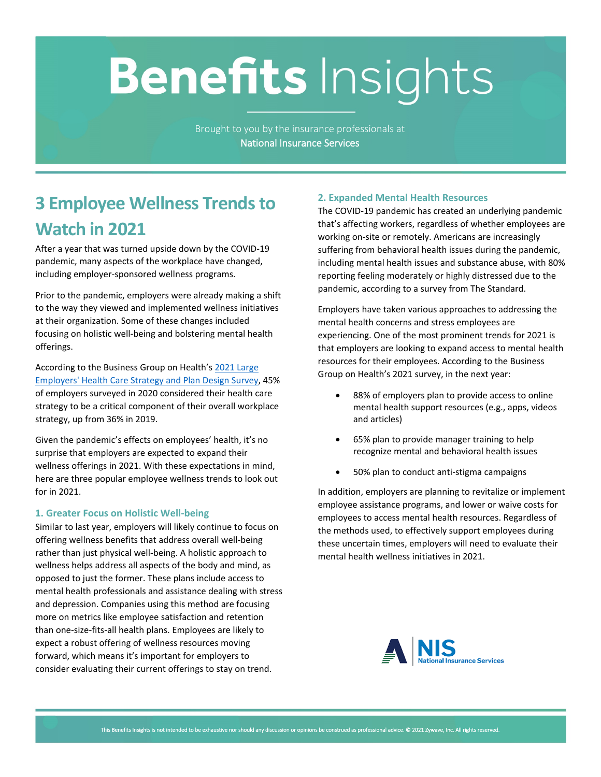# **Benefits Insights**

Brought to you by the insurance professionals at **National Insurance Services**

# **3 Employee Wellness Trends to Watch in 2021**

After a year that was turned upside down by the COVID-19 pandemic, many aspects of the workplace have changed, including employer-sponsored wellness programs.

Prior to the pandemic, employers were already making a shift to the way they viewed and implemented wellness initiatives at their organization. Some of these changes included focusing on holistic well-being and bolstering mental health offerings.

According to the Business Group on Health's [2021 Large](https://www.businessgrouphealth.org/en/resources/2021-large-employers-health-care-strategy-and-plan-design-survey)  [Employers' Health Care Strategy and Plan Design Survey](https://www.businessgrouphealth.org/en/resources/2021-large-employers-health-care-strategy-and-plan-design-survey), 45% of employers surveyed in 2020 considered their health care strategy to be a critical component of their overall workplace strategy, up from 36% in 2019.

Given the pandemic's effects on employees' health, it's no surprise that employers are expected to expand their wellness offerings in 2021. With these expectations in mind, here are three popular employee wellness trends to look out for in 2021.

### **1. Greater Focus on Holistic Well-being**

Similar to last year, employers will likely continue to focus on offering wellness benefits that address overall well-being rather than just physical well-being. A holistic approach to wellness helps address all aspects of the body and mind, as opposed to just the former. These plans include access to mental health professionals and assistance dealing with stress and depression. Companies using this method are focusing more on metrics like employee satisfaction and retention than one-size-fits-all health plans. Employees are likely to expect a robust offering of wellness resources moving forward, which means it's important for employers to consider evaluating their current offerings to stay on trend.

# **2. Expanded Mental Health Resources**

The COVID-19 pandemic has created an underlying pandemic that's affecting workers, regardless of whether employees are working on-site or remotely. Americans are increasingly suffering from behavioral health issues during the pandemic, including mental health issues and substance abuse, with 80% reporting feeling moderately or highly distressed due to the pandemic, according to a survey from The Standard.

Employers have taken various approaches to addressing the mental health concerns and stress employees are experiencing. One of the most prominent trends for 2021 is that employers are looking to expand access to mental health resources for their employees. According to the Business Group on Health's 2021 survey, in the next year:

- 88% of employers plan to provide access to online mental health support resources (e.g., apps, videos and articles)
- 65% plan to provide manager training to help recognize mental and behavioral health issues
- 50% plan to conduct anti-stigma campaigns

In addition, employers are planning to revitalize or implement employee assistance programs, and lower or waive costs for employees to access mental health resources. Regardless of the methods used, to effectively support employees during these uncertain times, employers will need to evaluate their mental health wellness initiatives in 2021.